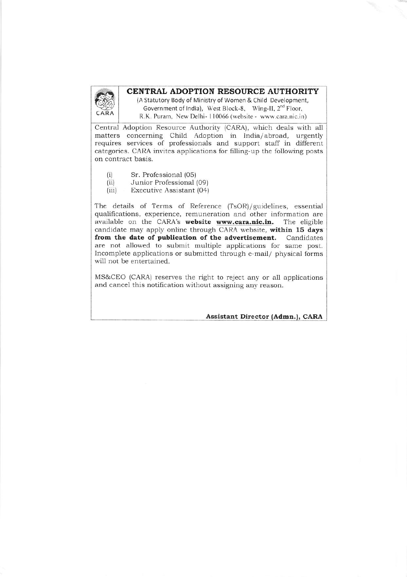

## CENTRAL ADOPTION RESOURCE AUTHORITY

(A Statutory Body of Ministry of Women & Child Development, Government of India), West Block-8, Wing-II, 2<sup>nd</sup> Floor, R.K. Puram, New Delhi-110066 (website - www.cara.nic.in)

Central Adoption Resource Authority (CARA), which deals with all matters concerning Child Adoption in India/abroad, urgently requires services of professionals and support staff in different categories. CARA invites applications for filling-up the following posts on contract basis.

- Sr. Professional (05)  $(i)$
- Junior Professional (09)  $(ii)$
- Executive Assistant (04)  $(iii)$

The details of Terms of Reference (TsOR)/guidelines, essential qualifications, experience, remuneration and other information are available on the CARA's website www.cara.nic.in. The eligible candidate may apply online through CARA website, within 15 days from the date of publication of the advertisement. Candidates are not allowed to submit multiple applications for same post. Incomplete applications or submitted through e-mail/ physical forms will not be entertained.

MS&CEO (CARA) reserves the right to reject any or all applications and cancel this notification without assigning any reason.

Assistant Director (Admn.), CARA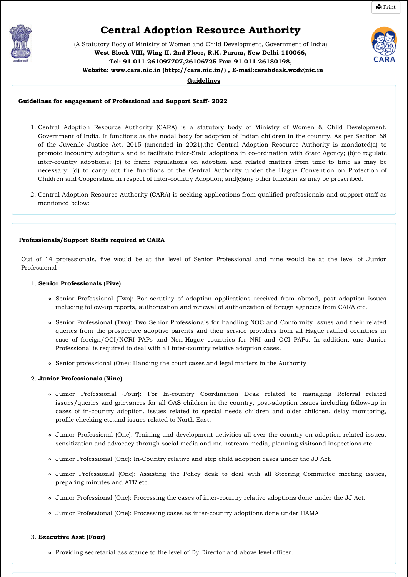<span id="page-1-0"></span>

# **Central Adoption Resource Authority**

**을** [Print](#page-1-0)

(A Statutory Body of Ministry of Women and Child Development, Government of India) **West Block-VIII, Wing-II, 2nd Floor, R.K. Puram, New Delhi-110066, Tel: 91-011-261097707,26106725 Fax: 91-011-26180198, Website[: www.cara.nic.in \(http://cara.nic.in/\)](http://cara.nic.in/) , E-mail:carahdesk.wcd@nic.in** 

**Guidelines**

#### **Guidelines for engagement of Professional and Support Staff- 2022**

- 1. Central Adoption Resource Authority (CARA) is a statutory body of Ministry of Women & Child Development, Government of India. It functions as the nodal body for adoption of Indian children in the country. As per Section 68 of the Juvenile Justice Act, 2015 (amended in 2021),the Central Adoption Resource Authority is mandated(a) to promote incountry adoptions and to facilitate inter-State adoptions in co-ordination with State Agency; (b)to regulate inter-country adoptions; (c) to frame regulations on adoption and related matters from time to time as may be necessary; (d) to carry out the functions of the Central Authority under the Hague Convention on Protection of Children and Cooperation in respect of Inter-country Adoption; and(e)any other function as may be prescribed.
- 2. Central Adoption Resource Authority (CARA) is seeking applications from qualified professionals and support staff as mentioned below:

#### **Professionals/Support Staffs required at CARA**

Out of 14 professionals, five would be at the level of Senior Professional and nine would be at the level of Junior Professional

#### 1. **Senior Professionals (Five)**

- Senior Professional (Two): For scrutiny of adoption applications received from abroad, post adoption issues including follow-up reports, authorization and renewal of authorization of foreign agencies from CARA etc.
- Senior Professional (Two): Two Senior Professionals for handling NOC and Conformity issues and their related queries from the prospective adoptive parents and their service providers from all Hague ratified countries in case of foreign/OCI/NCRI PAPs and Non-Hague countries for NRI and OCI PAPs. In addition, one Junior Professional is required to deal with all inter-country relative adoption cases.
- Senior professional (One): Handing the court cases and legal matters in the Authority

#### 2. **Junior Professionals (Nine)**

- Junior Professional (Four): For In-country Coordination Desk related to managing Referral related issues/queries and grievances for all OAS children in the country, post-adoption issues including follow-up in cases of in-country adoption, issues related to special needs children and older children, delay monitoring, profile checking etc.and issues related to North East.
- Junior Professional (One): Training and development activities all over the country on adoption related issues, sensitization and advocacy through social media and mainstream media, planning visitsand inspections etc.
- Junior Professional (One): In-Country relative and step child adoption cases under the JJ Act.
- Junior Professional (One): Assisting the Policy desk to deal with all Steering Committee meeting issues, preparing minutes and ATR etc.
- Junior Professional (One): Processing the cases of inter-country relative adoptions done under the JJ Act.
- Junior Professional (One): Processing cases as inter-country adoptions done under HAMA

#### 3. **Executive Asst (Four)**

Providing secretarial assistance to the level of Dy Director and above level officer.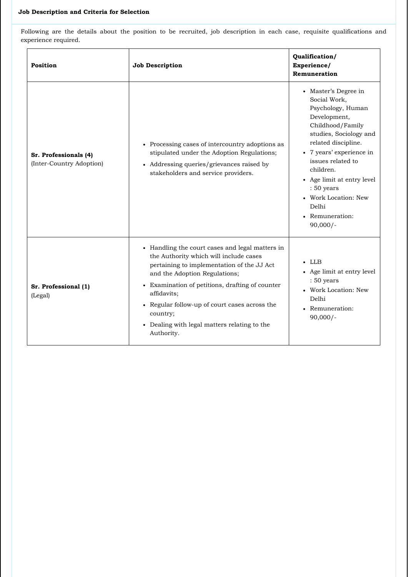Following are the details about the position to be recruited, job description in each case, requisite qualifications and experience required.

| Position                                          | <b>Job Description</b>                                                                                                                                                                                                                                                                                                                                                | Qualification/<br>Experience/<br>Remuneration                                                                                                                                                                                                                                                                              |
|---------------------------------------------------|-----------------------------------------------------------------------------------------------------------------------------------------------------------------------------------------------------------------------------------------------------------------------------------------------------------------------------------------------------------------------|----------------------------------------------------------------------------------------------------------------------------------------------------------------------------------------------------------------------------------------------------------------------------------------------------------------------------|
| Sr. Professionals (4)<br>(Inter-Country Adoption) | • Processing cases of intercountry adoptions as<br>stipulated under the Adoption Regulations;<br>• Addressing queries/grievances raised by<br>stakeholders and service providers.                                                                                                                                                                                     | • Master's Degree in<br>Social Work,<br>Psychology, Human<br>Development,<br>Childhood/Family<br>studies, Sociology and<br>related discipline.<br>• 7 years' experience in<br>issues related to<br>children.<br>• Age limit at entry level<br>: 50 years<br>• Work Location: New<br>Delhi<br>• Remuneration:<br>$90,000/-$ |
| Sr. Professional (1)<br>(Legal)                   | • Handling the court cases and legal matters in<br>the Authority which will include cases<br>pertaining to implementation of the JJ Act<br>and the Adoption Regulations;<br>• Examination of petitions, drafting of counter<br>affidavits;<br>• Regular follow-up of court cases across the<br>country;<br>• Dealing with legal matters relating to the<br>Authority. | $\cdot$ LLB<br>• Age limit at entry level<br>: 50 years<br>• Work Location: New<br>Delhi<br>• Remuneration:<br>$90,000/-$                                                                                                                                                                                                  |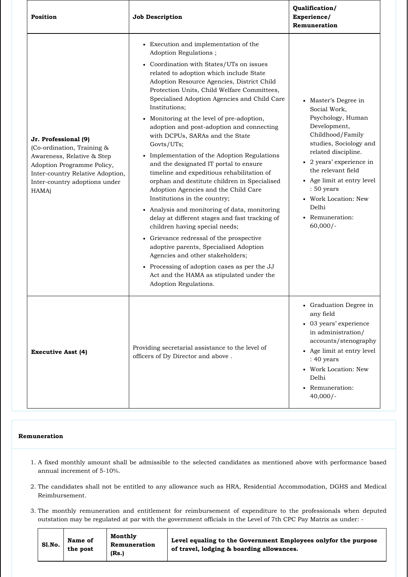| Position                                                                                                                                                                                     | <b>Job Description</b>                                                                                                                                                                                                                                                                                                                                                                                                                                                                                                                                                                                                                                                                                                                                                                                                                                                                                                                                                                                                                                                                                              | Qualification/<br>Experience/<br>Remuneration                                                                                                                                                                                                                                                                  |
|----------------------------------------------------------------------------------------------------------------------------------------------------------------------------------------------|---------------------------------------------------------------------------------------------------------------------------------------------------------------------------------------------------------------------------------------------------------------------------------------------------------------------------------------------------------------------------------------------------------------------------------------------------------------------------------------------------------------------------------------------------------------------------------------------------------------------------------------------------------------------------------------------------------------------------------------------------------------------------------------------------------------------------------------------------------------------------------------------------------------------------------------------------------------------------------------------------------------------------------------------------------------------------------------------------------------------|----------------------------------------------------------------------------------------------------------------------------------------------------------------------------------------------------------------------------------------------------------------------------------------------------------------|
| Jr. Professional (9)<br>(Co-ordination, Training &<br>Awareness, Relative & Step<br>Adoption Programme Policy,<br>Inter-country Relative Adoption,<br>Inter-country adoptions under<br>HAMA) | • Execution and implementation of the<br>Adoption Regulations;<br>• Coordination with States/UTs on issues<br>related to adoption which include State<br>Adoption Resource Agencies, District Child<br>Protection Units, Child Welfare Committees,<br>Specialised Adoption Agencies and Child Care<br>Institutions;<br>• Monitoring at the level of pre-adoption,<br>adoption and post-adoption and connecting<br>with DCPUs, SARAs and the State<br>Govts/UTs;<br>• Implementation of the Adoption Regulations<br>and the designated IT portal to ensure<br>timeline and expeditious rehabilitation of<br>orphan and destitute children in Specialised<br>Adoption Agencies and the Child Care<br>Institutions in the country;<br>• Analysis and monitoring of data, monitoring<br>delay at different stages and fast tracking of<br>children having special needs;<br>• Grievance redressal of the prospective<br>adoptive parents, Specialised Adoption<br>Agencies and other stakeholders;<br>• Processing of adoption cases as per the JJ<br>Act and the HAMA as stipulated under the<br>Adoption Regulations. | • Master's Degree in<br>Social Work,<br>Psychology, Human<br>Development,<br>Childhood/Family<br>studies, Sociology and<br>related discipline.<br>• 2 years' experience in<br>the relevant field<br>• Age limit at entry level<br>: 50 years<br>• Work Location: New<br>Delhi<br>• Remuneration:<br>$60,000/-$ |
| <b>Executive Asst (4)</b>                                                                                                                                                                    | Providing secretarial assistance to the level of<br>officers of Dy Director and above.                                                                                                                                                                                                                                                                                                                                                                                                                                                                                                                                                                                                                                                                                                                                                                                                                                                                                                                                                                                                                              | • Graduation Degree in<br>any field<br>• 03 years' experience<br>in administration/<br>accounts/stenography<br>• Age limit at entry level<br>: 40 years<br>• Work Location: New<br>Delhi<br>• Remuneration:<br>$40,000/-$                                                                                      |

#### **Remuneration**

- 1. A fixed monthly amount shall be admissible to the selected candidates as mentioned above with performance based annual increment of 5-10%.
- 2. The candidates shall not be entitled to any allowance such as HRA, Residential Accommodation, DGHS and Medical Reimbursement.
- 3. The monthly remuneration and entitlement for reimbursement of expenditure to the professionals when deputed outstation may be regulated at par with the government officials in the Level of 7th CPC Pay Matrix as under: -

| Sl.No.<br>Remuneration<br>of travel, lodging & boarding allowances.<br>the post<br>(Rs.) |
|------------------------------------------------------------------------------------------|
|------------------------------------------------------------------------------------------|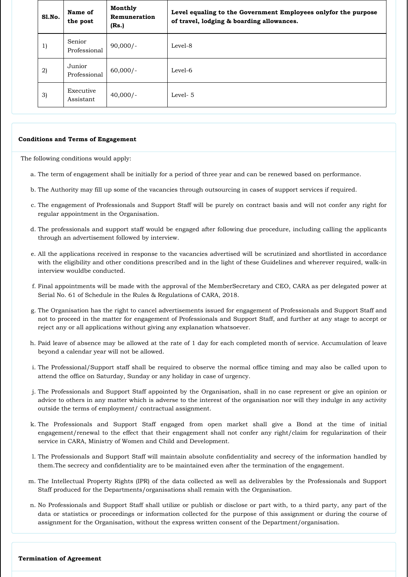| Sl.No. | Name of<br>the post    | Monthly<br>Remuneration<br>(Rs.) | Level equaling to the Government Employees onlyfor the purpose<br>of travel, lodging & boarding allowances. |
|--------|------------------------|----------------------------------|-------------------------------------------------------------------------------------------------------------|
| 1)     | Senior<br>Professional | $90,000/-$                       | Level-8                                                                                                     |
| 2)     | Junior<br>Professional | $60,000/-$                       | Level-6                                                                                                     |
| 3)     | Executive<br>Assistant | $40,000/-$                       | Level-5                                                                                                     |

#### **Conditions and Terms of Engagement**

The following conditions would apply:

- a. The term of engagement shall be initially for a period of three year and can be renewed based on performance.
- b. The Authority may fill up some of the vacancies through outsourcing in cases of support services if required.
- c. The engagement of Professionals and Support Staff will be purely on contract basis and will not confer any right for regular appointment in the Organisation.
- d. The professionals and support staff would be engaged after following due procedure, including calling the applicants through an advertisement followed by interview.
- e. All the applications received in response to the vacancies advertised will be scrutinized and shortlisted in accordance with the eligibility and other conditions prescribed and in the light of these Guidelines and wherever required, walk-in interview wouldbe conducted.
- f. Final appointments will be made with the approval of the MemberSecretary and CEO, CARA as per delegated power at Serial No. 61 of Schedule in the Rules & Regulations of CARA, 2018.
- g. The Organisation has the right to cancel advertisements issued for engagement of Professionals and Support Staff and not to proceed in the matter for engagement of Professionals and Support Staff, and further at any stage to accept or reject any or all applications without giving any explanation whatsoever.
- h. Paid leave of absence may be allowed at the rate of 1 day for each completed month of service. Accumulation of leave beyond a calendar year will not be allowed.
- i. The Professional/Support staff shall be required to observe the normal office timing and may also be called upon to attend the office on Saturday, Sunday or any holiday in case of urgency.
- j. The Professionals and Support Staff appointed by the Organisation, shall in no case represent or give an opinion or advice to others in any matter which is adverse to the interest of the organisation nor will they indulge in any activity outside the terms of employment/ contractual assignment.
- k. The Professionals and Support Staff engaged from open market shall give a Bond at the time of initial engagement/renewal to the effect that their engagement shall not confer any right/claim for regularization of their service in CARA, Ministry of Women and Child and Development.
- l. The Professionals and Support Staff will maintain absolute confidentiality and secrecy of the information handled by them.The secrecy and confidentiality are to be maintained even after the termination of the engagement.
- m. The Intellectual Property Rights (IPR) of the data collected as well as deliverables by the Professionals and Support Staff produced for the Departments/organisations shall remain with the Organisation.
- n. No Professionals and Support Staff shall utilize or publish or disclose or part with, to a third party, any part of the data or statistics or proceedings or information collected for the purpose of this assignment or during the course of assignment for the Organisation, without the express written consent of the Department/organisation.